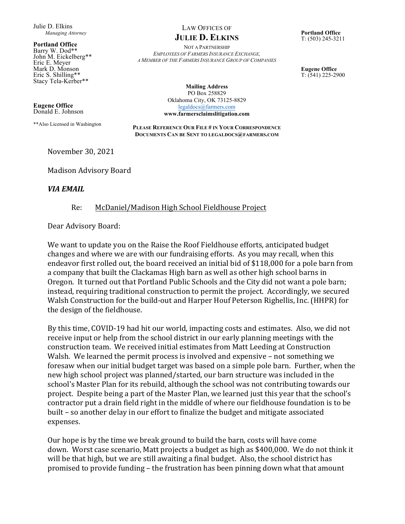Julie D. Elkins *Managing Attorney*

**Portland Office** Barry W. Dod\*\* John M. Eickelberg\*\* Eric E. Meyer Mark D. Monson Eric S. Shilling\*\* Stacy Tela-Kerber\*\*

**Eugene Office** Donald E. Johnson

\*\*Also Licensed in Washington

LAW OFFICES OF

## **JULIE D. ELKINS**

NOT A PARTNERSHIP *EMPLOYEES OF FARMERS INSURANCE EXCHANGE, A MEMBER OF THE FARMERS INSURANCE GROUP OF COMPANIES* **Portland Office** T: (503) 245-3211

**Eugene Office** T: (541) 225-2900

**Mailing Address** PO Box 258829 Oklahoma City, OK 73125-8829 legaldocs@farmers.com **www.farmersclaimslitigation.com**

**PLEASE REFERENCE OUR FILE # IN YOUR CORRESPONDENCE DOCUMENTS CAN BE SENT TO LEGALDOCS@FARMERS.COM**

November 30, 2021 

Madison Advisory Board

## *VIA EMAIL*

## Re: McDaniel/Madison High School Fieldhouse Project

Dear Advisory Board:

We want to update you on the Raise the Roof Fieldhouse efforts, anticipated budget changes and where we are with our fundraising efforts. As you may recall, when this endeavor first rolled out, the board received an initial bid of \$118,000 for a pole barn from a company that built the Clackamas High barn as well as other high school barns in Oregon. It turned out that Portland Public Schools and the City did not want a pole barn; instead, requiring traditional construction to permit the project. Accordingly, we secured Walsh Construction for the build-out and Harper Houf Peterson Righellis, Inc. (HHPR) for the design of the fieldhouse.

By this time, COVID-19 had hit our world, impacting costs and estimates. Also, we did not receive input or help from the school district in our early planning meetings with the construction team. We received initial estimates from Matt Leeding at Construction Walsh. We learned the permit process is involved and expensive – not something we foresaw when our initial budget target was based on a simple pole barn. Further, when the new high school project was planned/started, our barn structure was included in the school's Master Plan for its rebuild, although the school was not contributing towards our project. Despite being a part of the Master Plan, we learned just this year that the school's contractor put a drain field right in the middle of where our fieldhouse foundation is to be built – so another delay in our effort to finalize the budget and mitigate associated expenses.

Our hope is by the time we break ground to build the barn, costs will have come down. Worst case scenario, Matt projects a budget as high as \$400,000. We do not think it will be that high, but we are still awaiting a final budget. Also, the school district has promised to provide funding – the frustration has been pinning down what that amount